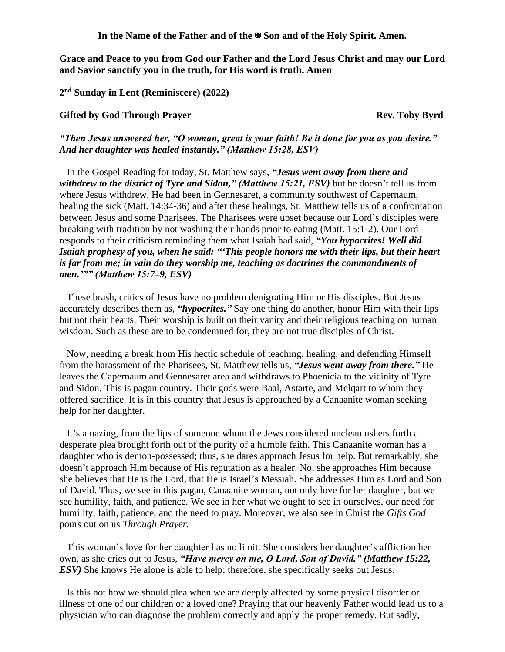**In the Name of the Father and of the Son and of the Holy Spirit. Amen.**

**Grace and Peace to you from God our Father and the Lord Jesus Christ and may our Lord and Savior sanctify you in the truth, for His word is truth. Amen**

**2 nd Sunday in Lent (Reminiscere) (2022)**

## **Gifted** by God Through Prayer **Rev. Toby Byrd** Rev. Toby Byrd

*"Then Jesus answered her, "O woman, great is your faith! Be it done for you as you desire." And her daughter was healed instantly." (Matthew 15:28, ESV)* 

In the Gospel Reading for today, St. Matthew says, *"Jesus went away from there and withdrew to the district of Tyre and Sidon," (Matthew 15:21, ESV)* but he doesn't tell us from where Jesus withdrew. He had been in Gennesaret, a community southwest of Capernaum, healing the sick (Matt. 14:34-36) and after these healings, St. Matthew tells us of a confrontation between Jesus and some Pharisees. The Pharisees were upset because our Lord's disciples were breaking with tradition by not washing their hands prior to eating (Matt. 15:1-2). Our Lord responds to their criticism reminding them what Isaiah had said, *"You hypocrites! Well did Isaiah prophesy of you, when he said: "'This people honors me with their lips, but their heart is far from me; in vain do they worship me, teaching as doctrines the commandments of men.'"" (Matthew 15:7–9, ESV)*

These brash, critics of Jesus have no problem denigrating Him or His disciples. But Jesus accurately describes them as, *"hypocrites."* Say one thing do another, honor Him with their lips but not their hearts. Their worship is built on their vanity and their religious teaching on human wisdom. Such as these are to be condemned for, they are not true disciples of Christ.

Now, needing a break from His hectic schedule of teaching, healing, and defending Himself from the harassment of the Pharisees, St. Matthew tells us, *"Jesus went away from there."* He leaves the Capernaum and Gennesaret area and withdraws to Phoenicia to the vicinity of Tyre and Sidon. This is pagan country. Their gods were Baal, Astarte, and Melqart to whom they offered sacrifice. It is in this country that Jesus is approached by a Canaanite woman seeking help for her daughter.

It's amazing, from the lips of someone whom the Jews considered unclean ushers forth a desperate plea brought forth out of the purity of a humble faith. This Canaanite woman has a daughter who is demon-possessed; thus, she dares approach Jesus for help. But remarkably, she doesn't approach Him because of His reputation as a healer. No, she approaches Him because she believes that He is the Lord, that He is Israel's Messiah. She addresses Him as Lord and Son of David. Thus, we see in this pagan, Canaanite woman, not only love for her daughter, but we see humility, faith, and patience. We see in her what we ought to see in ourselves, our need for humility, faith, patience, and the need to pray. Moreover, we also see in Christ the *Gifts God* pours out on us *Through Prayer.*

This woman's love for her daughter has no limit. She considers her daughter's affliction her own, as she cries out to Jesus, *"Have mercy on me, O Lord, Son of David." (Matthew 15:22, ESV*) She knows He alone is able to help; therefore, she specifically seeks out Jesus.

Is this not how we should plea when we are deeply affected by some physical disorder or illness of one of our children or a loved one? Praying that our heavenly Father would lead us to a physician who can diagnose the problem correctly and apply the proper remedy. But sadly,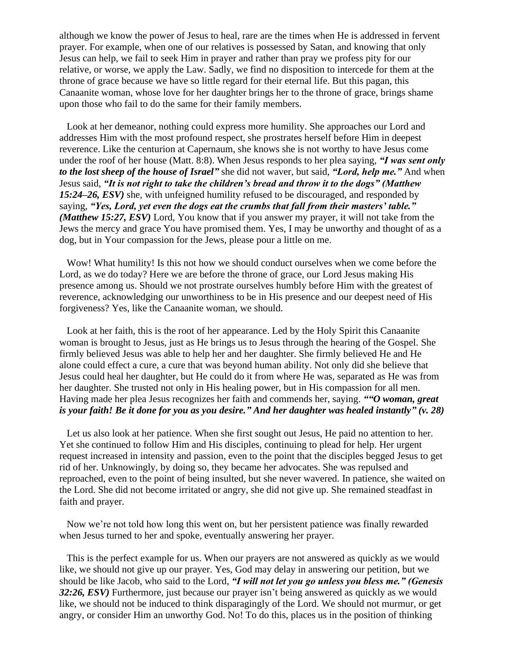although we know the power of Jesus to heal, rare are the times when He is addressed in fervent prayer. For example, when one of our relatives is possessed by Satan, and knowing that only Jesus can help, we fail to seek Him in prayer and rather than pray we profess pity for our relative, or worse, we apply the Law. Sadly, we find no disposition to intercede for them at the throne of grace because we have so little regard for their eternal life. But this pagan, this Canaanite woman, whose love for her daughter brings her to the throne of grace, brings shame upon those who fail to do the same for their family members.

Look at her demeanor, nothing could express more humility. She approaches our Lord and addresses Him with the most profound respect, she prostrates herself before Him in deepest reverence. Like the centurion at Capernaum, she knows she is not worthy to have Jesus come under the roof of her house (Matt. 8:8). When Jesus responds to her plea saying, *"I was sent only to the lost sheep of the house of Israel"* she did not waver, but said, *"Lord, help me."* And when Jesus said, *"It is not right to take the children's bread and throw it to the dogs" (Matthew 15:24–26, ESV)* she, with unfeigned humility refused to be discouraged, and responded by saying, *"Yes, Lord, yet even the dogs eat the crumbs that fall from their masters' table." (Matthew 15:27, ESV)* Lord, You know that if you answer my prayer, it will not take from the Jews the mercy and grace You have promised them. Yes, I may be unworthy and thought of as a dog, but in Your compassion for the Jews, please pour a little on me.

Wow! What humility! Is this not how we should conduct ourselves when we come before the Lord, as we do today? Here we are before the throne of grace, our Lord Jesus making His presence among us. Should we not prostrate ourselves humbly before Him with the greatest of reverence, acknowledging our unworthiness to be in His presence and our deepest need of His forgiveness? Yes, like the Canaanite woman, we should.

Look at her faith, this is the root of her appearance. Led by the Holy Spirit this Canaanite woman is brought to Jesus, just as He brings us to Jesus through the hearing of the Gospel. She firmly believed Jesus was able to help her and her daughter. She firmly believed He and He alone could effect a cure, a cure that was beyond human ability. Not only did she believe that Jesus could heal her daughter, but He could do it from where He was, separated as He was from her daughter. She trusted not only in His healing power, but in His compassion for all men. Having made her plea Jesus recognizes her faith and commends her, saying. *""O woman, great is your faith! Be it done for you as you desire." And her daughter was healed instantly" (v. 28)*

Let us also look at her patience. When she first sought out Jesus, He paid no attention to her. Yet she continued to follow Him and His disciples, continuing to plead for help. Her urgent request increased in intensity and passion, even to the point that the disciples begged Jesus to get rid of her. Unknowingly, by doing so, they became her advocates. She was repulsed and reproached, even to the point of being insulted, but she never wavered. In patience, she waited on the Lord. She did not become irritated or angry, she did not give up. She remained steadfast in faith and prayer.

Now we're not told how long this went on, but her persistent patience was finally rewarded when Jesus turned to her and spoke, eventually answering her prayer.

This is the perfect example for us. When our prayers are not answered as quickly as we would like, we should not give up our prayer. Yes, God may delay in answering our petition, but we should be like Jacob, who said to the Lord, *"I will not let you go unless you bless me." (Genesis 32:26, ESV)* Furthermore, just because our prayer isn't being answered as quickly as we would like, we should not be induced to think disparagingly of the Lord. We should not murmur, or get angry, or consider Him an unworthy God. No! To do this, places us in the position of thinking